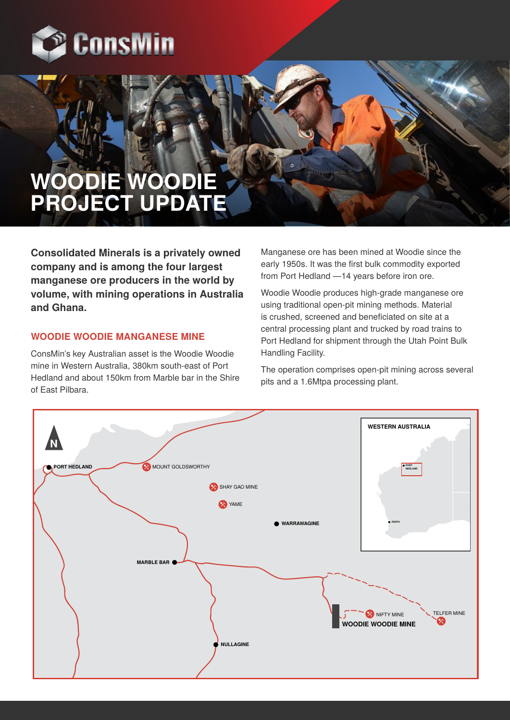

# **WOODIE WOODIE PROJECT UPDATE**

**Consolidated Minerals is a privately owned company and is among the four largest manganese ore producers in the world by volume, with mining operations in Australia and Ghana.**

# **WOODIE WOODIE MANGANESE MINE**

ConsMin's key Australian asset is the Woodie Woodie mine in Western Australia, 380km south-east of Port Hedland and about 150km from Marble bar in the Shire of East Pilbara.

Manganese ore has been mined at Woodie since the early 1950s. It was the first bulk commodity exported from Port Hedland —14 years before iron ore.

Woodie Woodie produces high-grade manganese ore using traditional open-pit mining methods. Material is crushed, screened and beneficiated on site at a central processing plant and trucked by road trains to Port Hedland for shipment through the Utah Point Bulk Handling Facility.

The operation comprises open-pit mining across several pits and a 1.6Mtpa processing plant.

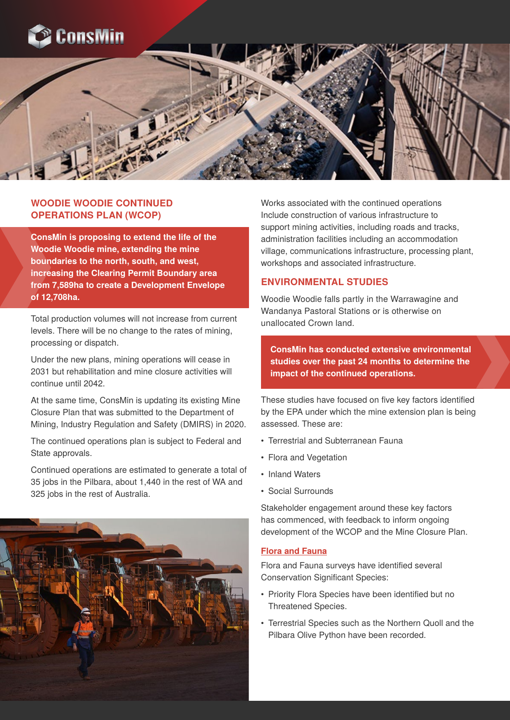



# **WOODIE WOODIE CONTINUED OPERATIONS PLAN (WCOP)**

**ConsMin is proposing to extend the life of the Woodie Woodie mine, extending the mine boundaries to the north, south, and west, increasing the Clearing Permit Boundary area from 7,589ha to create a Development Envelope of 12,708ha.**

Total production volumes will not increase from current levels. There will be no change to the rates of mining, processing or dispatch.

Under the new plans, mining operations will cease in 2031 but rehabilitation and mine closure activities will continue until 2042.

At the same time, ConsMin is updating its existing Mine Closure Plan that was submitted to the Department of Mining, Industry Regulation and Safety (DMIRS) in 2020.

The continued operations plan is subject to Federal and State approvals.

Continued operations are estimated to generate a total of 35 jobs in the Pilbara, about 1,440 in the rest of WA and 325 jobs in the rest of Australia.



Works associated with the continued operations Include construction of various infrastructure to support mining activities, including roads and tracks, administration facilities including an accommodation village, communications infrastructure, processing plant, workshops and associated infrastructure.

### **ENVIRONMENTAL STUDIES**

Woodie Woodie falls partly in the Warrawagine and Wandanya Pastoral Stations or is otherwise on unallocated Crown land.

**ConsMin has conducted extensive environmental studies over the past 24 months to determine the impact of the continued operations.**

These studies have focused on five key factors identified by the EPA under which the mine extension plan is being assessed. These are:

- Terrestrial and Subterranean Fauna
- Flora and Vegetation
- Inland Waters
- Social Surrounds

Stakeholder engagement around these key factors has commenced, with feedback to inform ongoing development of the WCOP and the Mine Closure Plan.

### **Flora and Fauna**

Flora and Fauna surveys have identified several Conservation Significant Species:

- Priority Flora Species have been identified but no Threatened Species.
- Terrestrial Species such as the Northern Quoll and the Pilbara Olive Python have been recorded.